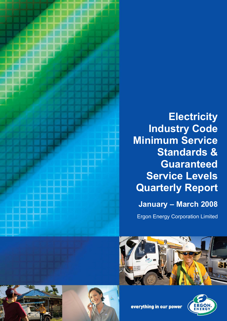

# **Electricity Industry Code Minimum Service Standards & Guaranteed Service Levels Quarterly Report January – March 2008**

Ergon Energy Corporation Limited









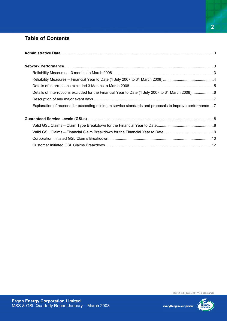# **Table of Contents**

| Details of Interruptions excluded for the Financial Year to Date (1 July 2007 to 31 March 2008)6     |  |
|------------------------------------------------------------------------------------------------------|--|
|                                                                                                      |  |
| Explanation of reasons for exceeding minimum service standards and proposals to improve performance7 |  |
|                                                                                                      |  |
|                                                                                                      |  |
|                                                                                                      |  |
|                                                                                                      |  |
|                                                                                                      |  |

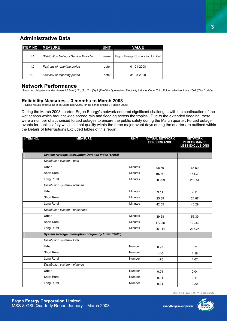# **Administrative Data**

| <b>ITEM NO</b> | <b>MEASURE</b>                               | UNIT | VALUE                            |
|----------------|----------------------------------------------|------|----------------------------------|
| 1.1            | <b>Distribution Network Service Provider</b> | name | Ergon Energy Corporation Limited |
| 1.2            | First day of reporting period                | date | 01-01-2008                       |
| 1.3            | Last day of reporting period                 | date | 31-03-2008                       |

## **Network Performance**

(Reporting obligations under clause 2.6.2(a)(i) (A), (B), (C), (D) & (E) of the Queensland Electricity Industry Code, Third Edition effective 1 July 2007 ('The Code'))

#### **Reliability Measures – 3 months to March 2008**

(Revised results effective as at 15 September 2008, for the period ending 31 March 2008)

During the March 2008 quarter, Ergon Energy's network endured significant challenges with the continuation of the wet season which brought wide spread rain and flooding across the tropics. Due to the extended flooding, there were a number of authorised forced outages to ensure the public safety during the March quarter. Forced outage events for public safety which did not qualify within the three major event days during the quarter are outlined within the Details of Interruptions Excluded tables of this report.

| <b>ITEM NO.</b> | <b>MEASURE</b>                                             | <b>UNIT</b>    | <b>ACTUAL NETWORK<br/>PERFORMANCE</b> | <b>NETWORK</b><br><b>PERFORMANCE<br/>LESS EXCLUSIONS</b> |
|-----------------|------------------------------------------------------------|----------------|---------------------------------------|----------------------------------------------------------|
|                 |                                                            |                |                                       |                                                          |
|                 | <b>System Average Interruption Duration Index (SAIDI)</b>  |                |                                       |                                                          |
|                 | Distribution system - total                                |                |                                       |                                                          |
|                 | Urban                                                      | <b>Minutes</b> | 98.69                                 | 65.50                                                    |
|                 | <b>Short Rural</b>                                         | <b>Minutes</b> | 197.67                                | 154.39                                                   |
|                 | Long Rural                                                 | <b>Minutes</b> | 303.99                                | 258.54                                                   |
|                 | Distribution system - planned                              |                |                                       |                                                          |
|                 | Urban                                                      | <b>Minutes</b> | 9.11                                  | 9.11                                                     |
|                 | <b>Short Rural</b>                                         | <b>Minutes</b> | 25.39                                 | 24.87                                                    |
|                 | Long Rural                                                 | <b>Minutes</b> | 42.55                                 | 40.29                                                    |
|                 | Distribution system - unplanned                            |                |                                       |                                                          |
|                 | Urban                                                      | <b>Minutes</b> | 89.58                                 | 56.39                                                    |
|                 | <b>Short Rural</b>                                         | <b>Minutes</b> | 172.28                                | 129.52                                                   |
|                 | Long Rural                                                 | <b>Minutes</b> | 261.44                                | 218.25                                                   |
|                 | <b>System Average Interruption Frequency Index (SAIFI)</b> |                |                                       |                                                          |
|                 | Distribution system - total                                |                |                                       |                                                          |
|                 | Urban                                                      | <b>Number</b>  | 0.93                                  | 0.71                                                     |
|                 | <b>Short Rural</b>                                         | <b>Number</b>  | 1.40                                  | 1.18                                                     |
|                 | Long Rural                                                 | <b>Number</b>  | 1.75                                  | 1.67                                                     |
|                 | Distribution system - planned                              |                |                                       |                                                          |
|                 | Urban                                                      | <b>Number</b>  | 0.04                                  | 0.04                                                     |
|                 | <b>Short Rural</b>                                         | <b>Number</b>  | 0.11                                  | 0.11                                                     |
|                 | Long Rural                                                 | <b>Number</b>  | 0.21                                  | 0.20                                                     |

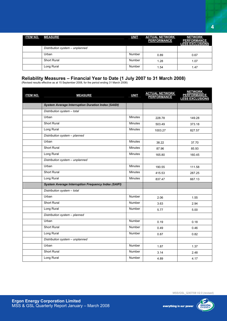| <b>ITEM NO.</b> | <b>MEASURE</b>                  | <b>UNIT</b> | <b>ACTUAL NETWORK</b><br><b>PERFORMANCE</b> | <b>NETWORK</b><br><b>PERFORMANCE</b><br><b>LESS EXCLUSIONS</b> |
|-----------------|---------------------------------|-------------|---------------------------------------------|----------------------------------------------------------------|
|                 | Distribution system - unplanned |             |                                             |                                                                |
|                 | Urban                           | Number      | 0.89                                        | 0.67                                                           |
|                 | <b>Short Rural</b>              | Number      | 1.28                                        | 1.07                                                           |
|                 | Long Rural                      | Number      | 1.54                                        | 1.47                                                           |

# **Reliability Measures – Financial Year to Date (1 July 2007 to 31 March 2008)**

(Revised results effective as at 15 September 2008, for the period ending 31 March 2008)

| <b>ITEM NO.</b> | <b>MEASURE</b>                                             | <b>UNIT</b>    | <u>ACTUAL NETWORK</u><br>PERFORMANCE | <b>NETWORK</b><br><b>PERFORMANCE</b><br><b>LESS EXCLUSIONS</b> |
|-----------------|------------------------------------------------------------|----------------|--------------------------------------|----------------------------------------------------------------|
|                 | <b>System Average Interruption Duration Index (SAIDI)</b>  |                |                                      |                                                                |
|                 | Distribution system - total                                |                |                                      |                                                                |
|                 | Urban                                                      | <b>Minutes</b> | 228.78                               | 149.28                                                         |
|                 | Short Rural                                                | Minutes        | 503.49                               | 373.18                                                         |
|                 | Long Rural                                                 | <b>Minutes</b> | 1003.27                              | 827.57                                                         |
|                 | Distribution system - planned                              |                |                                      |                                                                |
|                 | Urban                                                      | <b>Minutes</b> | 38.22                                | 37.70                                                          |
|                 | <b>Short Rural</b>                                         | <b>Minutes</b> | 87.96                                | 85.93                                                          |
|                 | Long Rural                                                 | <b>Minutes</b> | 165.80                               | 160.45                                                         |
|                 | Distribution system - unplanned                            |                |                                      |                                                                |
|                 | Urban                                                      | <b>Minutes</b> | 190.55                               | 111.58                                                         |
|                 | <b>Short Rural</b>                                         | <b>Minutes</b> | 415.53                               | 287.25                                                         |
|                 | Long Rural                                                 | Minutes        | 837.47                               | 667.13                                                         |
|                 | <b>System Average Interruption Frequency Index (SAIFI)</b> |                |                                      |                                                                |
|                 | Distribution system - total                                |                |                                      |                                                                |
|                 | Urban                                                      | <b>Number</b>  | 2.06                                 | 1.55                                                           |
|                 | <b>Short Rural</b>                                         | Number         | 3.63                                 | 2.94                                                           |
|                 | Long Rural                                                 | Number         | 5.77                                 | 5.00                                                           |
|                 | Distribution system - planned                              |                |                                      |                                                                |
|                 | Urban                                                      | <b>Number</b>  | 0.19                                 | 0.18                                                           |
|                 | <b>Short Rural</b>                                         | Number         | 0.49                                 | 0.46                                                           |
|                 | Long Rural                                                 | Number         | 0.87                                 | 0.82                                                           |
|                 | Distribution system - unplanned                            |                |                                      |                                                                |
|                 | Urban                                                      | <b>Number</b>  | 1.87                                 | 1.37                                                           |
|                 | Short Rural                                                | <b>Number</b>  | 3.14                                 | 2.48                                                           |
|                 | Long Rural                                                 | Number         | 4.89                                 | 4.17                                                           |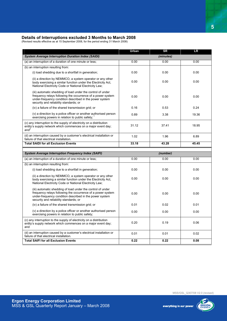#### **Details of Interruptions excluded 3 Months to March 2008**

(Revised results effective as at 15 September 2008, for the period ending 31 March 2008)

|                                                                                                                                                                                                                                 | Urban | <b>SR</b> | <b>LR</b> |
|---------------------------------------------------------------------------------------------------------------------------------------------------------------------------------------------------------------------------------|-------|-----------|-----------|
| <b>System Average Interruption Duration Index (SAIDI)</b>                                                                                                                                                                       |       | (minutes) |           |
| (a) an interruption of a duration of one minute or less;                                                                                                                                                                        | 0.00  | 0.00      | 0.00      |
| (b) an interruption resulting from:                                                                                                                                                                                             |       |           |           |
| (i) load shedding due to a shortfall in generation;                                                                                                                                                                             | 0.00  | 0.00      | 0.00      |
| (ii) a direction by NEMMCO, a system operator or any other<br>body exercising a similar function under the Electricity Act,<br>National Electricity Code or National Electricity Law;                                           | 0.00  | 0.00      | 0.00      |
| (iii) automatic shedding of load under the control of under<br>frequency relays following the occurrence of a power system<br>under-frequency condition described in the power system<br>security and reliability standards; or | 0.00  | 0.00      | 0.00      |
| (iv) a failure of the shared transmission grid; or                                                                                                                                                                              | 0.16  | 0.53      | 0.24      |
| (v) a direction by a police officer or another authorised person<br>exercising powers in relation to public safety; 1                                                                                                           | 0.89  | 3.38      | 19.36     |
| (c) any interruption to the supply of electricity on a distribution<br>entity's supply network which commences on a major event day;<br>and <sup>2</sup>                                                                        | 31.12 | 37.41     | 18.95     |
| (d) an interruption caused by a customer's electrical installation or<br>failure of that electrical installation.                                                                                                               | 1.02  | 1.96      | 6.89      |
|                                                                                                                                                                                                                                 |       |           |           |
| <b>Total SAIDI for all Exclusion Events</b>                                                                                                                                                                                     | 33.18 | 43.28     | 45.45     |
|                                                                                                                                                                                                                                 |       |           |           |
| <b>System Average Interruption Frequency Index (SAIFI)</b>                                                                                                                                                                      |       | (number)  |           |
| (a) an interruption of a duration of one minute or less;                                                                                                                                                                        | 0.00  | 0.00      | 0.00      |
| (b) an interruption resulting from:                                                                                                                                                                                             |       |           |           |
| (i) load shedding due to a shortfall in generation;                                                                                                                                                                             | 0.00  | 0.00      | 0.00      |
| (ii) a direction by NEMMCO, a system operator or any other<br>body exercising a similar function under the Electricity Act,<br>National Electricity Code or National Electricity Law;                                           | 0.00  | 0.00      | 0.00      |
| (iii) automatic shedding of load under the control of under<br>frequency relays following the occurrence of a power system<br>under-frequency condition described in the power system<br>security and reliability standards; or | 0.00  | 0.00      | 0.00      |
| (iv) a failure of the shared transmission grid; or                                                                                                                                                                              | 0.01  | 0.02      | 0.01      |
| (v) a direction by a police officer or another authorised person<br>exercising powers in relation to public safety;                                                                                                             | 0.00  | 0.00      | 0.00      |
| (c) any interruption to the supply of electricity on a distribution<br>entity's supply network which commences on a major event day;<br>and                                                                                     | 0.20  | 0.19      | 0.06      |
| (d) an interruption caused by a customer's electrical installation or<br>failure of that electrical installation.                                                                                                               | 0.01  | 0.01      | 0.02      |

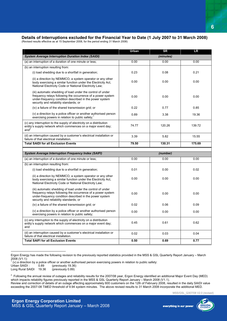# **Details of Interruptions excluded for the Financial Year to Date (1 July 2007 to 31 March 2008)**

(Revised results effective as at 15 September 2008, for the period ending 31 March 2008)

|                                                                                                                                                                                                                                 | Urban | <b>SR</b> | <b>LR</b> |
|---------------------------------------------------------------------------------------------------------------------------------------------------------------------------------------------------------------------------------|-------|-----------|-----------|
| <b>System Average Interruption Duration Index (SAIDI)</b>                                                                                                                                                                       |       | (minutes) |           |
| (a) an interruption of a duration of one minute or less;                                                                                                                                                                        | 0.00  | 0.00      | 0.00      |
| (b) an interruption resulting from:                                                                                                                                                                                             |       |           |           |
| (i) load shedding due to a shortfall in generation;                                                                                                                                                                             | 0.23  | 0.08      | 0.21      |
| (ii) a direction by NEMMCO, a system operator or any other<br>body exercising a similar function under the Electricity Act.<br>National Electricity Code or National Electricity Law;                                           | 0.00  | 0.00      | 0.00      |
| (iii) automatic shedding of load under the control of under<br>frequency relays following the occurrence of a power system<br>under-frequency condition described in the power system<br>security and reliability standards; or | 0.00  | 0.00      | 0.00      |
| (iv) a failure of the shared transmission grid; or                                                                                                                                                                              | 0.22  | 0.77      | 0.85      |
| (v) a direction by a police officer or another authorised person<br>exercising powers in relation to public safety; <sup>1</sup>                                                                                                | 0.89  | 3.38      | 19.36     |
| (c) any interruption to the supply of electricity on a distribution<br>entity's supply network which commences on a major event day;<br>and <sup>2</sup>                                                                        | 74.77 | 120.26    | 139.72    |
| (d) an interruption caused by a customer's electrical installation or<br>failure of that electrical installation.                                                                                                               | 3.39  | 5.82      | 15.55     |
| <b>Total SAIDI for all Exclusion Events</b>                                                                                                                                                                                     | 79.50 | 130.31    | 175.69    |
|                                                                                                                                                                                                                                 |       |           |           |
|                                                                                                                                                                                                                                 |       |           |           |
| <b>System Average Interruption Frequency Index (SAIFI)</b>                                                                                                                                                                      |       | (number)  |           |
| (a) an interruption of a duration of one minute or less;                                                                                                                                                                        | 0.00  | 0.00      | 0.00      |
| (b) an interruption resulting from:                                                                                                                                                                                             |       |           |           |
| (i) load shedding due to a shortfall in generation;                                                                                                                                                                             | 0.01  | 0.00      | 0.02      |
| (ii) a direction by NEMMCO, a system operator or any other<br>body exercising a similar function under the Electricity Act.<br>National Electricity Code or National Electricity Law;                                           | 0.00  | 0.00      | 0.00      |
| (iii) automatic shedding of load under the control of under<br>frequency relays following the occurrence of a power system<br>under-frequency condition described in the power system<br>security and reliability standards; or | 0.00  | 0.00      | 0.00      |
| (iv) a failure of the shared transmission grid; or                                                                                                                                                                              | 0.02  | 0.06      | 0.09      |
| (v) a direction by a police officer or another authorised person<br>exercising powers in relation to public safety;                                                                                                             | 0.00  | 0.00      | 0.00      |
| (c) any interruption to the supply of electricity on a distribution<br>entity's supply network which commences on a major event day;<br>and                                                                                     | 0.45  | 0.61      | 0.62      |
| (d) an interruption caused by a customer's electrical installation or<br>failure of that electrical installation.                                                                                                               | 0.02  | 0.03      | 0.04      |

Ergon Energy has made the following revision to the previously reported statistics provided in the MSS & GSL Quarterly Report January – March 2008 (V1.1):

<sup>1</sup> (v) a direction by a police officer or another authorised person exercising powers in relation to public safety:

Urban SAIDI : 0.89 (previously 19.36)<br>Long Rural SAIDI 19.36 (previously 0.89)

 $\overline{a}$ 

Long Rural SAIDI 19.36



 $^2$  Following the annual review of outages and reliability results for the 2007/08 year, Ergon Energy identified an additional Major Event Day (MED) which impacts reliability figures previously reported in the MSS & GSL Quarterly Report January - March 2008 (V1.1). Review and correction of details of an outage affecting approximately 600 customers on the 12th of February 2008, resulted in the daily SAIDI value exceeding the 2007-08 T*MED* threshold of 9.94 system minutes. The above revised results to 31 March 2008 incorporate the additional MED.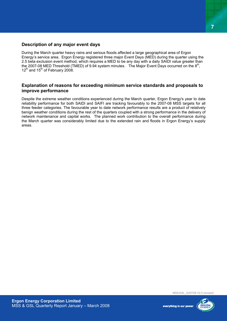# **Description of any major event days**

During the March quarter heavy rains and serious floods affected a large geographical area of Ergon Energy's service area. Ergon Energy registered three major Event Days (MED) during the quarter using the 2.5 beta exclusion event method, which requires a MED to be any day with a daily SAIDI value greater than the 2007-08 MED Threshold (TMED) of 9.94 system minutes. The Major Event Days occurred on the 8<sup>th</sup>,  $12^{th}$  and  $15^{th}$  of February 2008.

# **Explanation of reasons for exceeding minimum service standards and proposals to improve performance**

Despite the extreme weather conditions experienced during the March quarter, Ergon Energy's year to date reliability performance for both SAIDI and SAIFI are tracking favourably to the 2007-08 MSS targets for all three feeder categories. The favourable year to date network performance results are a product of relatively benign weather conditions during the rest of the quarters coupled with a strong performance in the delivery of network maintenance and capital works. The planned work contribution to the overall performance during the March quarter was considerably limited due to the extended rain and floods in Ergon Energy's supply areas.

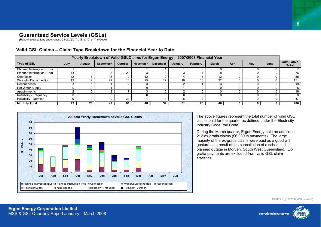# **Guaranteed Service Levels (GSLs)**

(Reporting obligations under clause 2.6.2(a)(ii) (A), (B) & (C) of The Code)

| Yearly Breakdown of Valid GSLClaims for Ergon Energy - 2007/2008 Financial Year |      |               |           |                |                 |                 |         |          |              |              |     |      |                                   |
|---------------------------------------------------------------------------------|------|---------------|-----------|----------------|-----------------|-----------------|---------|----------|--------------|--------------|-----|------|-----------------------------------|
| <b>Type of GSL</b>                                                              | July | <b>August</b> | September | <b>October</b> | <b>November</b> | <b>December</b> | January | February | <b>March</b> | <b>April</b> | May | June | <b>Cumulative</b><br><b>Total</b> |
| Planned Interruption (Bus)                                                      |      |               |           |                |                 |                 |         |          |              |              |     |      |                                   |
| Planned Interruption (Res)                                                      |      |               |           | 20             |                 |                 |         |          |              |              |     |      | 76                                |
| Connection                                                                      |      |               | 15        |                | 12              |                 |         |          | 12           |              |     |      | 85                                |
| <b>Wrongful Disconnection</b>                                                   |      | 12            | 22        | 18             | 25              | $\overline{ }$  | 10      | 12       | 22           |              |     |      | 151                               |
| Reconnection                                                                    |      |               |           |                |                 |                 |         |          |              |              |     |      | 19                                |
| <b>Hot Water Supply</b>                                                         |      |               |           |                |                 |                 |         |          |              |              |     |      |                                   |
| Appointments                                                                    |      |               |           |                |                 |                 |         |          |              |              |     |      | 16                                |
| Reliability - Frequency                                                         |      |               |           |                |                 |                 |         |          |              |              |     |      |                                   |
| Reliability - Duration                                                          |      |               |           | $^{\circ}$     |                 | 14              |         |          |              |              |     |      | 47                                |
| <b>Monthly Total</b>                                                            | 43   | 28            | 49        | 81             | 48              | 54              | 31      | 26       | 46           |              |     |      | 406                               |

# **Valid GSL Claims – Claim Type Breakdown for the Financial Year to Date**



The above figures represent the total number of valid GSL claims paid for the quarter as defined under the Electricity Industry Code (the Code).

During the March quarter, Ergon Energy paid an additional 212 ex-gratia claims (\$6,030 in payments). The large majority of the ex-gratia claims were paid as a good will gesture as a result of the cancellation of a scheduled planned outage in Morven, South West Queensland. Exgratia payments are excluded from valid GSL claim statistics.

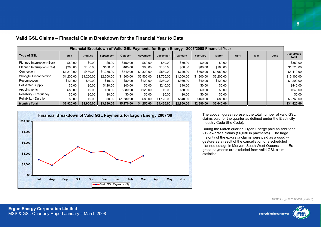| Financial Breakdown of Valid GSL Payments for Ergon Energy - 2007/2008 Financial Year |            |               |            |            |                 |                 |            |            |              |       |     |      |                                   |
|---------------------------------------------------------------------------------------|------------|---------------|------------|------------|-----------------|-----------------|------------|------------|--------------|-------|-----|------|-----------------------------------|
| <b>Type of GSL</b>                                                                    | July       | <b>August</b> | September  | October    | <b>November</b> | <b>December</b> | January    | February   | <b>March</b> | April | May | June | <b>Cumulative</b><br><b>Total</b> |
| Planned Interruption (Bus)                                                            | \$50.00    | \$0.00        | \$0.00     | \$150.00   | \$50.00         | \$50.00         | \$50.00    | \$0.00     | \$0.00       |       |     |      | \$350.00                          |
| Planned Interruption (Res)                                                            | \$260.00   | \$180.00      | \$160.00   | \$400.00   | \$60.00         | \$160.00        | \$60.00    | \$80.00    | \$160.00     |       |     |      | \$1,520.00                        |
| Connection                                                                            | \$1.210.00 | \$480.00      | \$1.080.00 | \$840.00   | \$1.320.00      | \$880.00        | \$720.00   | \$800.00   | \$1,080.00   |       |     |      | \$8,410.00                        |
| <b>Wrongful Disconnection</b>                                                         | \$1,200.00 | \$1,200.00    | \$2,200.00 | \$1,800.00 | \$2,500.00      | \$1,700.00      | \$1,000.00 | \$1,300.00 | \$2,200.00   |       |     |      | \$15,100.00                       |
| Reconnection                                                                          | \$120.00   | \$40.00       | \$40.00    | \$80.00    | \$120.00        | \$280.00        | \$360.00   | \$40.00    | \$120.00     |       |     |      | \$1,200.00                        |
| Hot Water Supply                                                                      | \$0.00     | \$0.00        | \$120.00   | \$40.00    | \$0.00          | \$240.00        | \$40.00    | \$0.00     | \$0.00       |       |     |      | \$440.00                          |
| Appointments                                                                          | \$80.00    | \$0.00        | \$80.00    | \$280.00   | \$120.00        | \$0.00          | \$80.00    | \$0.00     | \$0.00       |       |     |      | \$640.00                          |
| Reliability - Frequency                                                               | \$0.00     | \$0.00        | \$0.00     | \$0.00     | \$0.00          | \$0.00          | \$0.00     | \$0.00     | \$0.00       |       |     |      | \$0.00                            |
| Reliability - Duration                                                                | \$0.00     | \$0.00        | \$0.00     | \$1,680.00 | \$80.00         | \$1,120.00      | \$640.00   | \$160.00   | \$80.00      |       |     |      | \$3,760.00                        |
| <b>Monthly Total</b>                                                                  | \$2,920.00 | \$1,900.00    | \$3,680.00 | \$5,270.00 | \$4,250.00      | \$4,430.00      | \$2,950.00 | \$2,380.00 | \$3,640.00   |       |     |      | \$31,420.00                       |

#### **Valid GSL Claims – Financial Claim Breakdown for the Financial Year to Date**



The above figures represent the total number of valid GSL claims paid for the quarter as defined under the Electricity Industry Code (the Code).

During the March quarter, Ergon Energy paid an additional 212 ex-gratia claims (\$6,030 in payments). The large majority of the ex-gratia claims were paid as a good will gesture as a result of the cancellation of a scheduled planned outage in Morven, South West Queensland. Exgratia payments are excluded from valid GSL claim statistics.

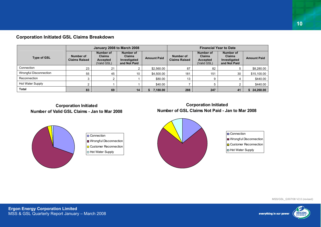|                        |                                   | January 2008 to March 2008                            |                                                            |                    | <b>Financial Year to Date</b>     |                                                              |                                                            |                    |  |  |
|------------------------|-----------------------------------|-------------------------------------------------------|------------------------------------------------------------|--------------------|-----------------------------------|--------------------------------------------------------------|------------------------------------------------------------|--------------------|--|--|
| <b>Type of GSL</b>     | Number of<br><b>Claims Raised</b> | Number of<br><b>Claims</b><br>Accepted<br>(Valid GSL) | Number of<br><b>Claims</b><br>Investigated<br>and Not Paid | <b>Amount Paid</b> | Number of<br><b>Claims Raised</b> | Number of<br><b>Claims</b><br><b>Accepted</b><br>(Valid GSL) | Number of<br><b>Claims</b><br>Investigated<br>and Not Paid | <b>Amount Paid</b> |  |  |
| Connection             | 23                                | 21                                                    |                                                            | \$2,560.00         | 87                                | 82                                                           |                                                            | \$8,280.00         |  |  |
| Wrongful Disconnection | 55                                | 45                                                    | 10                                                         | \$4,500.00         | 181                               | 151                                                          | 30                                                         | \$15,100.00        |  |  |
| Reconnection           |                                   |                                                       |                                                            | \$80.00            | 13                                |                                                              |                                                            | \$440.00           |  |  |
| Hot Water Supply       |                                   |                                                       |                                                            | \$40.00            |                                   |                                                              |                                                            | \$440.00           |  |  |
| Total                  | 83                                | 69                                                    | 14                                                         | 7,180.00           | 288                               | 247                                                          | 41                                                         | 24,260.00          |  |  |

# **Corporation Initiated GSL Claims Breakdown**

# **Corporation Initiated Number of Valid GSL Claims - Jan to Mar 2008**





# **Corporation Initiated Number of GSL Claims Not Paid - Jan to Mar 2008**



#### Connection

**Wrongful Disconnection** 

Customer Reconnection

Hot Water Supply

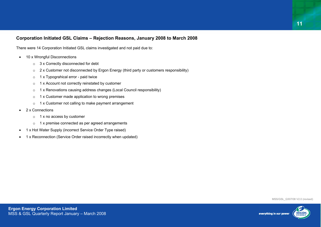# **Corporation Initiated GSL Claims – Rejection Reasons, January 2008 to March 2008**

There were 14 Corporation Initiated GSL claims investigated and not paid due to:

- 10 x Wrongful Disconnections
	- <sup>o</sup> 3 x Correctly disconnected for debt
	- <sup>o</sup> 2 x Customer not disconnected by Ergon Energy (third party or customers responsibility)
	- $\circ$  1 x Typograhical error paid twice
	- o 1 x Account not correctly reinstated by customer
	- <sup>o</sup> 1 x Renovations causing address changes (Local Council responsibility)
	- o 1 x Customer made application to wrong premises
	- o 1 x Customer not calling to make payment arrangement
- 2 x Connections
	- $\circ$  1 x no access by customer
	- o 1 x premise connected as per agreed arrangements
- 1 x Hot Water Supply (incorrect Service Order Type raised)
- 1 x Reconnection (Service Order raised incorrectly when updated)

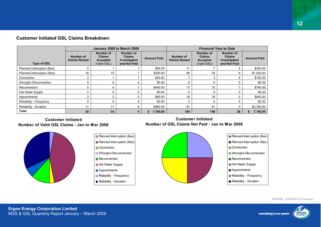|                            |                                   |                                                       | January 2008 to March 2008                                 |                    | <b>Financial Year to Date</b>     |                                                       |                                                            |                    |  |  |
|----------------------------|-----------------------------------|-------------------------------------------------------|------------------------------------------------------------|--------------------|-----------------------------------|-------------------------------------------------------|------------------------------------------------------------|--------------------|--|--|
| <b>Type of GSL</b>         | Number of<br><b>Claims Raised</b> | Number of<br><b>Claims</b><br>Accepted<br>(Valid GSL) | Number of<br><b>Claims</b><br>Investigated<br>and Not Paid | <b>Amount Paid</b> | Number of<br><b>Claims Raised</b> | Number of<br><b>Claims</b><br>Accepted<br>(Valid GSL) | Number of<br><b>Claims</b><br>Investigated<br>and Not Paid | <b>Amount Paid</b> |  |  |
| Planned Interruption (Bus) |                                   |                                                       |                                                            | \$50.00            |                                   |                                                       | 4                                                          | \$350.00           |  |  |
| Planned Interruption (Res) | 16                                | 15                                                    |                                                            | \$300.00           | 85                                | 76                                                    | 9                                                          | \$1,520.00         |  |  |
| Connection                 | 2                                 |                                                       |                                                            | \$40.00            |                                   |                                                       |                                                            | \$130.00           |  |  |
| Wrongful Disconnection     |                                   | 0                                                     | 0                                                          | \$0.00             |                                   |                                                       |                                                            | \$0.00             |  |  |
| Reconnection               | 5                                 | 4                                                     |                                                            | \$440.00           | 17                                | 10                                                    |                                                            | \$760.00           |  |  |
| Hot Water Supply           |                                   | 0                                                     | 0                                                          | \$0.00             |                                   |                                                       |                                                            | \$0.00             |  |  |
| Appointments               | ົ                                 | າ                                                     | 0                                                          | \$80.00            | 18                                | 16                                                    |                                                            | \$640.00           |  |  |
| Reliability - Frequency    |                                   | 0                                                     | 0                                                          | \$0.00             | 0                                 |                                                       |                                                            | \$0.00             |  |  |
| Reliability - Duration     | 11                                | 11                                                    | 0                                                          | \$880.00           | 47                                | 47                                                    |                                                            | \$3,760.00         |  |  |
| Total                      | 38                                | 34                                                    | 4                                                          | 1,790.00<br>S.     | 185                               | 159                                                   | 26                                                         | 7,160.00           |  |  |

**Planned Interruption (Bus)** ■ Planned Interruption (Res)

Wrongful Disconnection

Reliability - Frequency Reliability - Duration

n Connection

Reconnection Hot Water Supply **Appointments** 

# **Customer Initiated GSL Claims Breakdown**

#### **Customer InitiatedNumber of Valid GSL Claims - Jan to Mar 2008**



# **Customer InitiatedNumber of GSL Claims Not Paid - Jan to Mar 2008**



**ERGO** 

everything in our power